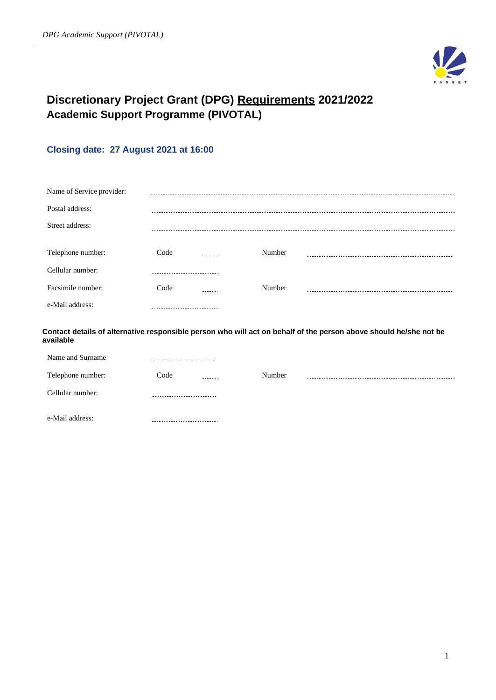

# **Discretionary Project Grant (DPG) Requirements 2021/2022 Academic Support Programme (PIVOTAL)**

# **Closing date: 27 August 2021 at 16:00**

| Name of Service provider: |      |   |        |  |
|---------------------------|------|---|--------|--|
| Postal address:           |      |   |        |  |
| Street address:           |      |   |        |  |
| Telephone number:         | Code |   | Number |  |
| Cellular number:          |      |   |        |  |
| Facsimile number:         | Code | . | Number |  |
| e-Mail address:           |      |   |        |  |

**Contact details of alternative responsible person who will act on behalf of the person above should he/she not be available**

| Name and Surname  |                            |        |  |
|-------------------|----------------------------|--------|--|
| Telephone number: | Code<br>-------            | Number |  |
| Cellular number:  | -------------------------- |        |  |
| e-Mail address:   |                            |        |  |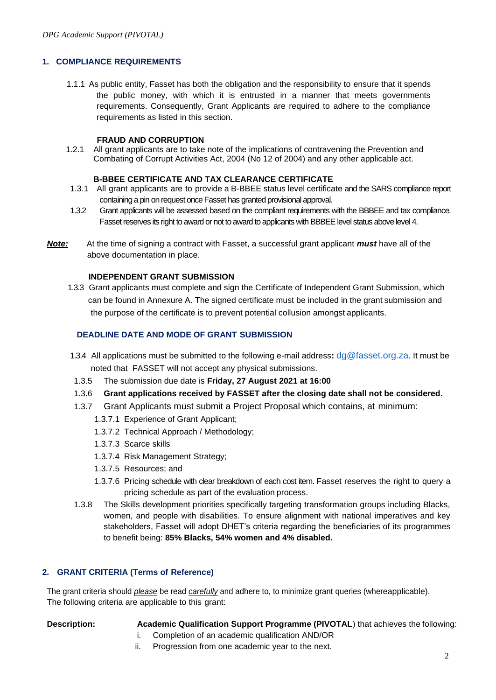# **1. COMPLIANCE REQUIREMENTS**

1.1.1 As public entity, Fasset has both the obligation and the responsibility to ensure that it spends the public money, with which it is entrusted in a manner that meets governments requirements. Consequently, Grant Applicants are required to adhere to the compliance requirements as listed in this section.

#### **FRAUD AND CORRUPTION**

1.2.1 All grant applicants are to take note of the implications of contravening the Prevention and Combating of Corrupt Activities Act, 2004 (No 12 of 2004) and any other applicable act.

#### **B-BBEE CERTIFICATE AND TAX CLEARANCE CERTIFICATE**

- 1.3.1 All grant applicants are to provide a B-BBEE status level certificate and the SARS compliance report containing a pin on request once Fasset has granted provisional approval.
- 1.3.2 Grant applicants will be assessed based on the compliant requirements with the BBBEE and tax compliance. Fasset reserves its right to award or not to award to applicants with BBBEE level status above level 4.
- *Note:* At the time of signing a contract with Fasset, a successful grant applicant *must* have all of the above documentation in place.

### **INDEPENDENT GRANT SUBMISSION**

 1.3.3 Grant applicants must complete and sign the Certificate of Independent Grant Submission, which can be found in Annexure A. The signed certificate must be included in the grant submission and the purpose of the certificate is to prevent potential collusion amongst applicants.

## **DEADLINE DATE AND MODE OF GRANT SUBMISSION**

- 1.3.4 All applications must be submitted to the following e-mail address**:** [dg@fasset.org.za](mailto:dg@fasset.org.za). It must be noted that FASSET will not accept any physical submissions.
- 1.3.5 The submission due date is **Friday, 27 August 2021 at 16:00**
- 1.3.6 **Grant applications received by FASSET after the closing date shall not be considered.**
- 1.3.7 Grant Applicants must submit a Project Proposal which contains, at minimum:
	- 1.3.7.1 Experience of Grant Applicant;
	- 1.3.7.2 Technical Approach / Methodology;
	- 1.3.7.3 Scarce skills
	- 1.3.7.4 Risk Management Strategy;
	- 1.3.7.5 Resources; and
	- 1.3.7.6 Pricing schedule with clear breakdown of each cost item. Fasset reserves the right to query a pricing schedule as part of the evaluation process.
- 1.3.8 The Skills development priorities specifically targeting transformation groups including Blacks, women, and people with disabilities. To ensure alignment with national imperatives and key stakeholders, Fasset will adopt DHET's criteria regarding the beneficiaries of its programmes to benefit being: **85% Blacks, 54% women and 4% disabled.**

### **2. GRANT CRITERIA (Terms of Reference)**

The grant criteria should *please* be read *carefully* and adhere to, to minimize grant queries (whereapplicable). The following criteria are applicable to this grant:

- **Description: Academic Qualification Support Programme (PIVOTAL**) that achieves the following:
	- i. Completion of an academic qualification AND/OR
	- ii. Progression from one academic year to the next.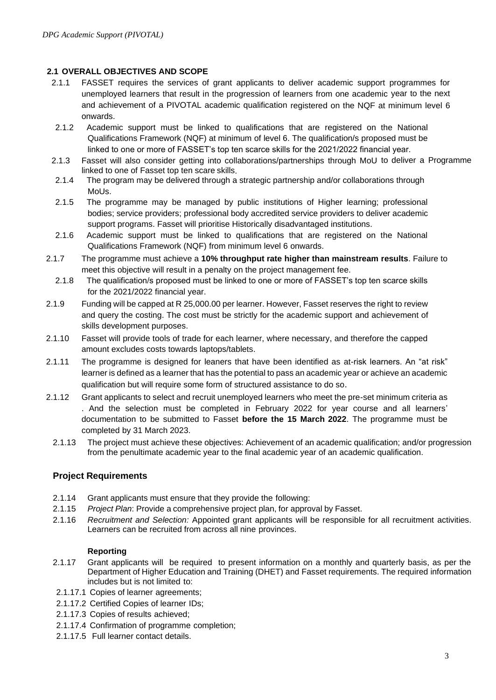# **2.1 OVERALL OBJECTIVES AND SCOPE**

- 2.1.1 FASSET requires the services of grant applicants to deliver academic support programmes for unemployed learners that result in the progression of learners from one academic year to the next and achievement of a PIVOTAL academic qualification registered on the NQF at minimum level 6 onwards.
- 2.1.2 Academic support must be linked to qualifications that are registered on the National Qualifications Framework (NQF) at minimum of level 6. The qualification/s proposed must be linked to one or more of FASSET's top ten scarce skills for the 2021/2022 financial year.
- 2.1.3 Fasset will also consider getting into collaborations/partnerships through MoU to deliver a Programme linked to one of Fasset top ten scare skills.
- 2.1.4 The program may be delivered through a strategic partnership and/or collaborations through MoUs.
- 2.1.5 The programme may be managed by public institutions of Higher learning; professional bodies; service providers; professional body accredited service providers to deliver academic support programs. Fasset will prioritise Historically disadvantaged institutions.
- 2.1.6 Academic support must be linked to qualifications that are registered on the National Qualifications Framework (NQF) from minimum level 6 onwards.
- 2.1.7 The programme must achieve a **10% throughput rate higher than mainstream results**. Failure to meet this objective will result in a penalty on the project management fee.
	- 2.1.8 The qualification/s proposed must be linked to one or more of FASSET's top ten scarce skills for the 2021/2022 financial year.
- 2.1.9 Funding will be capped at R 25,000.00 per learner. However, Fasset reserves the right to review and query the costing. The cost must be strictly for the academic support and achievement of skills development purposes.
- 2.1.10 Fasset will provide tools of trade for each learner, where necessary, and therefore the capped amount excludes costs towards laptops/tablets.
- 2.1.11 The programme is designed for leaners that have been identified as at-risk learners. An "at risk" learner is defined as a learner that has the potential to pass an academic year or achieve an academic qualification but will require some form of structured assistance to do so.
- 2.1.12 Grant applicants to select and recruit unemployed learners who meet the pre-set minimum criteria as . And the selection must be completed in February 2022 for year course and all learners' documentation to be submitted to Fasset **before the 15 March 2022**. The programme must be completed by 31 March 2023.
	- 2.1.13 The project must achieve these objectives: Achievement of an academic qualification; and/or progression from the penultimate academic year to the final academic year of an academic qualification.

# **Project Requirements**

- 2.1.14 Grant applicants must ensure that they provide the following:
- 2.1.15 *Project Plan*: Provide a comprehensive project plan, for approval by Fasset.
- 2.1.16 *Recruitment and Selection:* Appointed grant applicants will be responsible for all recruitment activities. Learners can be recruited from across all nine provinces.

# **Reporting**

- 2.1.17 Grant applicants will be required to present information on a monthly and quarterly basis, as per the Department of Higher Education and Training (DHET) and Fasset requirements. The required information includes but is not limited to:
- 2.1.17.1 Copies of learner agreements;
- 2.1.17.2 Certified Copies of learner IDs;
- 2.1.17.3 Copies of results achieved;
- 2.1.17.4 Confirmation of programme completion;
- 2.1.17.5 Full learner contact details.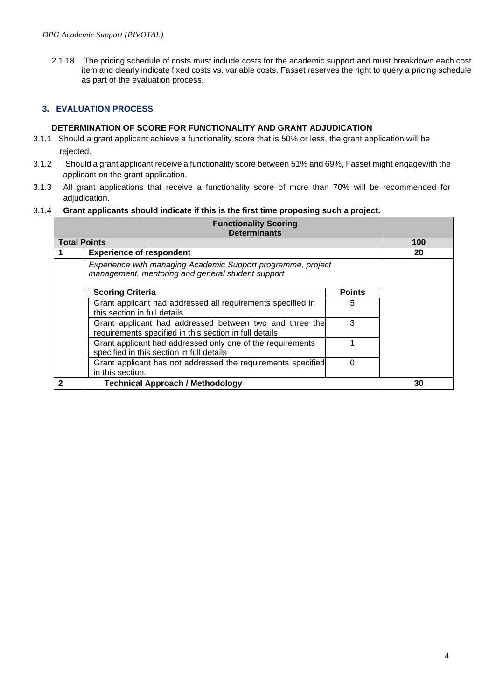2.1.18 The pricing schedule of costs must include costs for the academic support and must breakdown each cost item and clearly indicate fixed costs vs. variable costs. Fasset reserves the right to query a pricing schedule as part of the evaluation process.

# **3. EVALUATION PROCESS**

# **DETERMINATION OF SCORE FOR FUNCTIONALITY AND GRANT ADJUDICATION**

- 3.1.1 Should a grant applicant achieve a functionality score that is 50% or less, the grant application will be rejected.
- 3.1.2 Should a grant applicant receive a functionality score between 51% and 69%, Fasset might engagewith the applicant on the grant application.
- 3.1.3 All grant applications that receive a functionality score of more than 70% will be recommended for adjudication.

# 3.1.4 **Grant applicants should indicate if this is the first time proposing such a project.**

| <b>Functionality Scoring</b><br><b>Determinants</b>                                                               |               |     |  |
|-------------------------------------------------------------------------------------------------------------------|---------------|-----|--|
| <b>Total Points</b>                                                                                               |               | 100 |  |
| <b>Experience of respondent</b>                                                                                   |               | 20  |  |
| Experience with managing Academic Support programme, project<br>management, mentoring and general student support |               |     |  |
| <b>Scoring Criteria</b>                                                                                           | <b>Points</b> |     |  |
| Grant applicant had addressed all requirements specified in<br>this section in full details                       | 5             |     |  |
| Grant applicant had addressed between two and three the<br>requirements specified in this section in full details | 3             |     |  |
| Grant applicant had addressed only one of the requirements<br>specified in this section in full details           |               |     |  |
| Grant applicant has not addressed the requirements specified<br>in this section.                                  | 0             |     |  |
| <b>Technical Approach / Methodology</b>                                                                           |               | 30  |  |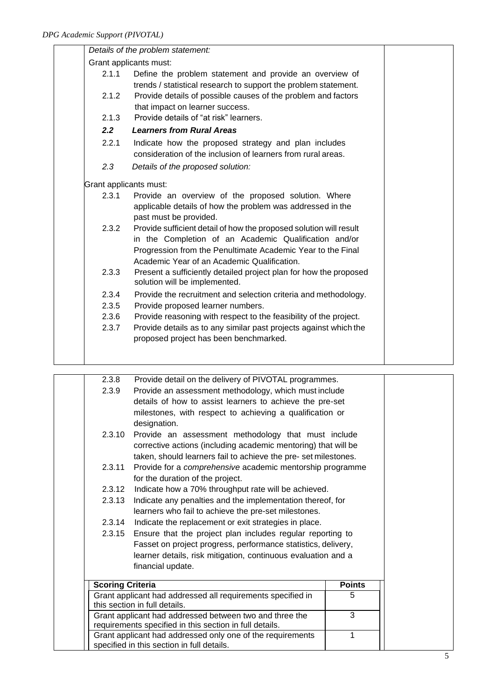|                        | Details of the problem statement:                                                                  |  |
|------------------------|----------------------------------------------------------------------------------------------------|--|
| Grant applicants must: |                                                                                                    |  |
| 2.1.1                  | Define the problem statement and provide an overview of                                            |  |
|                        | trends / statistical research to support the problem statement.                                    |  |
| 2.1.2                  | Provide details of possible causes of the problem and factors                                      |  |
|                        | that impact on learner success.                                                                    |  |
| 2.1.3                  | Provide details of "at risk" learners.                                                             |  |
| 2.2                    | <b>Learners from Rural Areas</b>                                                                   |  |
| 2.2.1                  | Indicate how the proposed strategy and plan includes                                               |  |
|                        | consideration of the inclusion of learners from rural areas.                                       |  |
| 2.3                    | Details of the proposed solution:                                                                  |  |
|                        | Grant applicants must:                                                                             |  |
| 2.3.1                  | Provide an overview of the proposed solution. Where                                                |  |
|                        | applicable details of how the problem was addressed in the                                         |  |
|                        | past must be provided.                                                                             |  |
| 2.3.2                  | Provide sufficient detail of how the proposed solution will result                                 |  |
|                        | in the Completion of an Academic Qualification and/or                                              |  |
|                        | Progression from the Penultimate Academic Year to the Final                                        |  |
|                        | Academic Year of an Academic Qualification.                                                        |  |
| 2.3.3                  | Present a sufficiently detailed project plan for how the proposed<br>solution will be implemented. |  |
| 2.3.4                  | Provide the recruitment and selection criteria and methodology.                                    |  |
| 2.3.5                  | Provide proposed learner numbers.                                                                  |  |
| 2.3.6                  | Provide reasoning with respect to the feasibility of the project.                                  |  |
| 2.3.7                  | Provide details as to any similar past projects against which the                                  |  |
|                        | proposed project has been benchmarked.                                                             |  |
|                        |                                                                                                    |  |
|                        |                                                                                                    |  |

| 2.3.8                                                       | Provide detail on the delivery of PIVOTAL programmes.                                                    |               |  |
|-------------------------------------------------------------|----------------------------------------------------------------------------------------------------------|---------------|--|
| 2.3.9                                                       | Provide an assessment methodology, which must include                                                    |               |  |
|                                                             | details of how to assist learners to achieve the pre-set                                                 |               |  |
|                                                             | milestones, with respect to achieving a qualification or                                                 |               |  |
|                                                             | designation.                                                                                             |               |  |
| 2.3.10                                                      | Provide an assessment methodology that must include                                                      |               |  |
|                                                             | corrective actions (including academic mentoring) that will be                                           |               |  |
|                                                             | taken, should learners fail to achieve the pre-set milestones.                                           |               |  |
| 2.3.11                                                      | Provide for a <i>comprehensive</i> academic mentorship programme                                         |               |  |
|                                                             | for the duration of the project.                                                                         |               |  |
| 2.3.12                                                      | Indicate how a 70% throughput rate will be achieved.                                                     |               |  |
| 2.3.13                                                      | Indicate any penalties and the implementation thereof, for                                               |               |  |
|                                                             | learners who fail to achieve the pre-set milestones.                                                     |               |  |
| 2.3.14                                                      | Indicate the replacement or exit strategies in place.                                                    |               |  |
| 2.3.15                                                      | Ensure that the project plan includes regular reporting to                                               |               |  |
|                                                             | Fasset on project progress, performance statistics, delivery,                                            |               |  |
|                                                             | learner details, risk mitigation, continuous evaluation and a                                            |               |  |
|                                                             | financial update.                                                                                        |               |  |
| <b>Scoring Criteria</b>                                     |                                                                                                          | <b>Points</b> |  |
| Grant applicant had addressed all requirements specified in |                                                                                                          | 5             |  |
| this section in full details.                               |                                                                                                          |               |  |
|                                                             | Grant applicant had addressed between two and three the                                                  | 3             |  |
|                                                             | requirements specified in this section in full details.                                                  | 1             |  |
|                                                             | Grant applicant had addressed only one of the requirements<br>specified in this section in full details. |               |  |
|                                                             |                                                                                                          |               |  |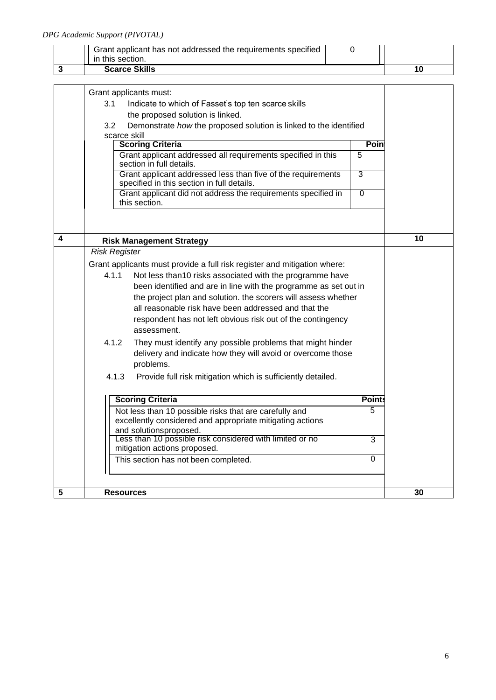# *DPG Academic Support (PIVOTAL)*

| in this section.<br><b>Scarce Skills</b>                     |  |
|--------------------------------------------------------------|--|
| Grant applicant has not addressed the requirements specified |  |

|                         | Grant applicants must:<br>3.1<br>Indicate to which of Fasset's top ten scarce skills<br>the proposed solution is linked.<br>3.2<br>Demonstrate how the proposed solution is linked to the identified<br>scarce skill<br><b>Scoring Criteria</b><br>Grant applicant addressed all requirements specified in this                                                                                                                                                                                                                                                                                                                                       | Poin<br>5     |    |
|-------------------------|-------------------------------------------------------------------------------------------------------------------------------------------------------------------------------------------------------------------------------------------------------------------------------------------------------------------------------------------------------------------------------------------------------------------------------------------------------------------------------------------------------------------------------------------------------------------------------------------------------------------------------------------------------|---------------|----|
|                         | section in full details.<br>Grant applicant addressed less than five of the requirements<br>$\overline{3}$<br>specified in this section in full details.<br>Grant applicant did not address the requirements specified in<br>$\overline{0}$<br>this section.                                                                                                                                                                                                                                                                                                                                                                                          |               |    |
| 4                       | <b>Risk Management Strategy</b>                                                                                                                                                                                                                                                                                                                                                                                                                                                                                                                                                                                                                       |               | 10 |
|                         | <b>Risk Register</b>                                                                                                                                                                                                                                                                                                                                                                                                                                                                                                                                                                                                                                  |               |    |
|                         | Grant applicants must provide a full risk register and mitigation where:<br>Not less than10 risks associated with the programme have<br>4.1.1<br>been identified and are in line with the programme as set out in<br>the project plan and solution. the scorers will assess whether<br>all reasonable risk have been addressed and that the<br>respondent has not left obvious risk out of the contingency<br>assessment.<br>4.1.2<br>They must identify any possible problems that might hinder<br>delivery and indicate how they will avoid or overcome those<br>problems.<br>4.1.3<br>Provide full risk mitigation which is sufficiently detailed. |               |    |
|                         | <b>Scoring Criteria</b>                                                                                                                                                                                                                                                                                                                                                                                                                                                                                                                                                                                                                               | <b>Point:</b> |    |
|                         | Not less than 10 possible risks that are carefully and<br>excellently considered and appropriate mitigating actions<br>and solutionsproposed.                                                                                                                                                                                                                                                                                                                                                                                                                                                                                                         | 5             |    |
|                         | Less than 10 possible risk considered with limited or no<br>mitigation actions proposed.<br>This section has not been completed.                                                                                                                                                                                                                                                                                                                                                                                                                                                                                                                      | 3<br>0        |    |
|                         |                                                                                                                                                                                                                                                                                                                                                                                                                                                                                                                                                                                                                                                       |               |    |
| $\overline{\mathbf{5}}$ | <b>Resources</b>                                                                                                                                                                                                                                                                                                                                                                                                                                                                                                                                                                                                                                      |               | 30 |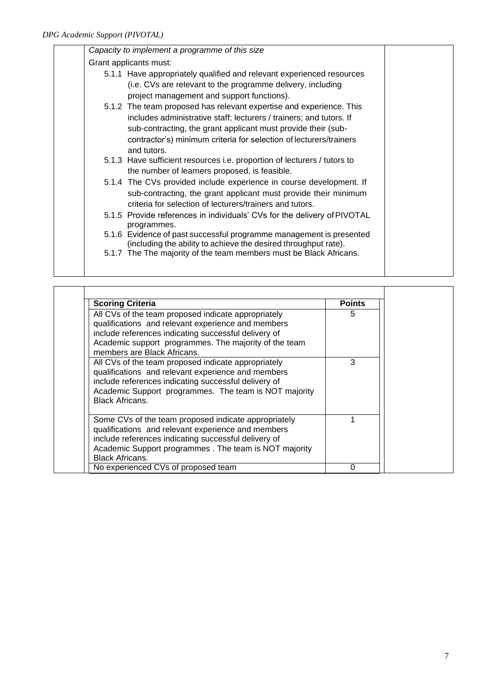| Capacity to implement a programme of this size |                                                                                         |  |
|------------------------------------------------|-----------------------------------------------------------------------------------------|--|
| Grant applicants must:                         |                                                                                         |  |
|                                                | 5.1.1 Have appropriately qualified and relevant experienced resources                   |  |
|                                                | (i.e. CVs are relevant to the programme delivery, including                             |  |
|                                                | project management and support functions).                                              |  |
|                                                | 5.1.2 The team proposed has relevant expertise and experience. This                     |  |
|                                                | includes administrative staff; lecturers / trainers; and tutors. If                     |  |
|                                                | sub-contracting, the grant applicant must provide their (sub-                           |  |
|                                                | contractor's) minimum criteria for selection of lecturers/trainers                      |  |
|                                                | and tutors.                                                                             |  |
|                                                | 5.1.3 Have sufficient resources i.e. proportion of lecturers / tutors to                |  |
|                                                | the number of learners proposed, is feasible.                                           |  |
|                                                | 5.1.4 The CVs provided include experience in course development. If                     |  |
|                                                | sub-contracting, the grant applicant must provide their minimum                         |  |
|                                                | criteria for selection of lecturers/trainers and tutors.                                |  |
|                                                | 5.1.5 Provide references in individuals' CVs for the delivery of PIVOTAL<br>programmes. |  |
|                                                | 5.1.6 Evidence of past successful programme management is presented                     |  |
|                                                | (including the ability to achieve the desired throughput rate).                         |  |
|                                                | 5.1.7 The The majority of the team members must be Black Africans.                      |  |
|                                                |                                                                                         |  |

| <b>Scoring Criteria</b>                                                                                                                                                                                                                                   | <b>Points</b> |
|-----------------------------------------------------------------------------------------------------------------------------------------------------------------------------------------------------------------------------------------------------------|---------------|
| All CVs of the team proposed indicate appropriately<br>qualifications and relevant experience and members<br>include references indicating successful delivery of<br>Academic support programmes. The majority of the team<br>members are Black Africans. | 5             |
| All CVs of the team proposed indicate appropriately<br>qualifications and relevant experience and members<br>include references indicating successful delivery of<br>Academic Support programmes. The team is NOT majority<br><b>Black Africans.</b>      | 3             |
| Some CVs of the team proposed indicate appropriately<br>qualifications and relevant experience and members<br>include references indicating successful delivery of<br>Academic Support programmes . The team is NOT majority<br><b>Black Africans.</b>    |               |
| No experienced CVs of proposed team                                                                                                                                                                                                                       | O             |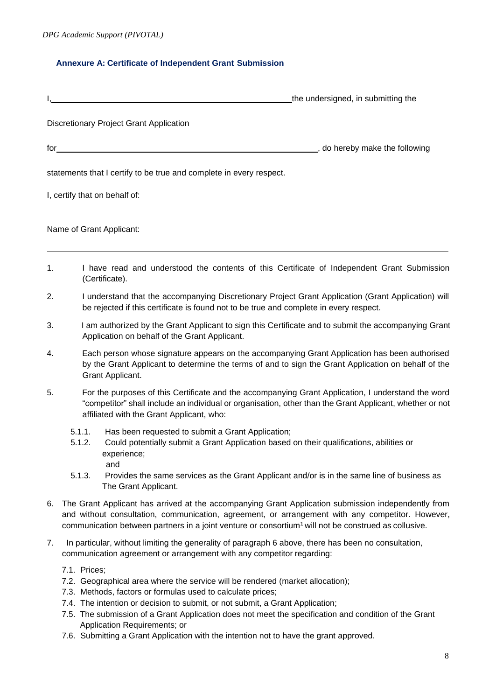### **Annexure A: Certificate of Independent Grant Submission**

|                                                                     | the undersigned, in submitting the    |
|---------------------------------------------------------------------|---------------------------------------|
| Discretionary Project Grant Application                             |                                       |
| for                                                                 | $\Box$ , do hereby make the following |
| statements that I certify to be true and complete in every respect. |                                       |
| I, certify that on behalf of:                                       |                                       |
| Name of Grant Applicant:                                            |                                       |

- 1. I have read and understood the contents of this Certificate of Independent Grant Submission (Certificate).
- 2. I understand that the accompanying Discretionary Project Grant Application (Grant Application) will be rejected if this certificate is found not to be true and complete in every respect.
- 3. I am authorized by the Grant Applicant to sign this Certificate and to submit the accompanying Grant Application on behalf of the Grant Applicant.
- 4. Each person whose signature appears on the accompanying Grant Application has been authorised by the Grant Applicant to determine the terms of and to sign the Grant Application on behalf of the Grant Applicant.
- 5. For the purposes of this Certificate and the accompanying Grant Application, I understand the word "competitor" shall include an individual or organisation, other than the Grant Applicant, whether or not affiliated with the Grant Applicant, who:
	- 5.1.1. Has been requested to submit a Grant Application;
	- 5.1.2. Could potentially submit a Grant Application based on their qualifications, abilities or experience; and
	- 5.1.3. Provides the same services as the Grant Applicant and/or is in the same line of business as The Grant Applicant.
- 6. The Grant Applicant has arrived at the accompanying Grant Application submission independently from and without consultation, communication, agreement, or arrangement with any competitor. However, communication between partners in a joint venture or consortium<sup>1</sup> will not be construed as collusive.
- 7. In particular, without limiting the generality of paragraph 6 above, there has been no consultation, communication agreement or arrangement with any competitor regarding:
	- 7.1. Prices;
	- 7.2. Geographical area where the service will be rendered (market allocation);
	- 7.3. Methods, factors or formulas used to calculate prices;
	- 7.4. The intention or decision to submit, or not submit, a Grant Application;
	- 7.5. The submission of a Grant Application does not meet the specification and condition of the Grant Application Requirements; or
	- 7.6. Submitting a Grant Application with the intention not to have the grant approved.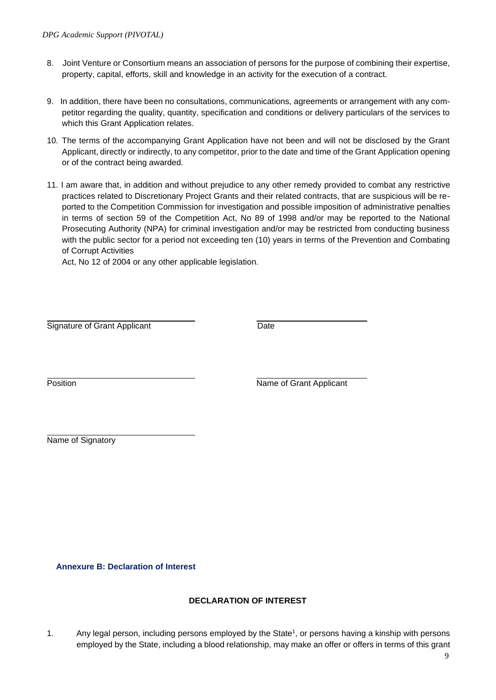- 8. Joint Venture or Consortium means an association of persons for the purpose of combining their expertise, property, capital, efforts, skill and knowledge in an activity for the execution of a contract.
- 9. In addition, there have been no consultations, communications, agreements or arrangement with any competitor regarding the quality, quantity, specification and conditions or delivery particulars of the services to which this Grant Application relates.
- 10. The terms of the accompanying Grant Application have not been and will not be disclosed by the Grant Applicant, directly or indirectly, to any competitor, prior to the date and time of the Grant Application opening or of the contract being awarded.
- 11. I am aware that, in addition and without prejudice to any other remedy provided to combat any restrictive practices related to Discretionary Project Grants and their related contracts, that are suspicious will be reported to the Competition Commission for investigation and possible imposition of administrative penalties in terms of section 59 of the Competition Act, No 89 of 1998 and/or may be reported to the National Prosecuting Authority (NPA) for criminal investigation and/or may be restricted from conducting business with the public sector for a period not exceeding ten (10) years in terms of the Prevention and Combating of Corrupt Activities

Act, No 12 of 2004 or any other applicable legislation.

Signature of Grant Applicant Date

Position **Name of Grant Applicant** 

Name of Signatory

**Annexure B: Declaration of Interest**

# **DECLARATION OF INTEREST**

1. Any legal person, including persons employed by the State<sup>1</sup>, or persons having a kinship with persons employed by the State, including a blood relationship, may make an offer or offers in terms of this grant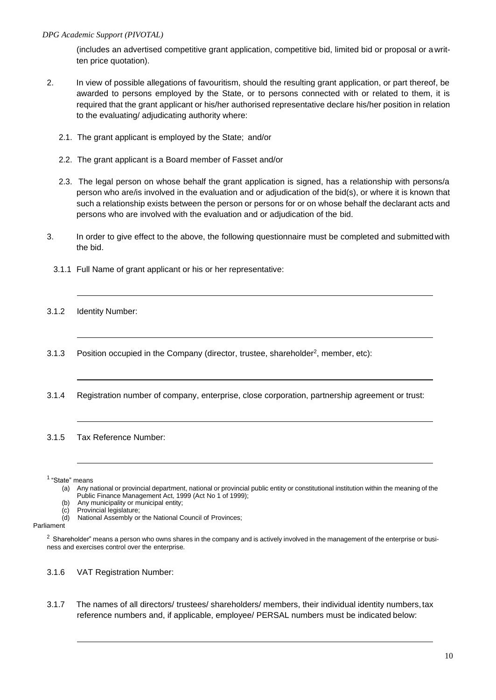(includes an advertised competitive grant application, competitive bid, limited bid or proposal or a written price quotation).

- 2. In view of possible allegations of favouritism, should the resulting grant application, or part thereof, be awarded to persons employed by the State, or to persons connected with or related to them, it is required that the grant applicant or his/her authorised representative declare his/her position in relation to the evaluating/ adjudicating authority where:
	- 2.1. The grant applicant is employed by the State; and/or
	- 2.2. The grant applicant is a Board member of Fasset and/or
	- 2.3. The legal person on whose behalf the grant application is signed, has a relationship with persons/a person who are/is involved in the evaluation and or adjudication of the bid(s), or where it is known that such a relationship exists between the person or persons for or on whose behalf the declarant acts and persons who are involved with the evaluation and or adjudication of the bid.
- 3. In order to give effect to the above, the following questionnaire must be completed and submitted with the bid.
	- 3.1.1 Full Name of grant applicant or his or her representative:
- 3.1.2 Identity Number:
- 3.1.3 Position occupied in the Company (director, trustee, shareholder<sup>2</sup>, member, etc):
- 3.1.4 Registration number of company, enterprise, close corporation, partnership agreement or trust:
- 3.1.5 Tax Reference Number:

1 "State" means

- (a) Any national or provincial department, national or provincial public entity or constitutional institution within the meaning of the Public Finance Management Act, 1999 (Act No 1 of 1999);
- (b) Any municipality or municipal entity;<br>(c) Provincial legislature;
- (c) Provincial legislature;<br>(d) National Assembly or
- National Assembly or the National Council of Provinces;

#### Parliament

 $2$  Shareholder" means a person who owns shares in the company and is actively involved in the management of the enterprise or business and exercises control over the enterprise.

- 3.1.6 VAT Registration Number:
- 3.1.7 The names of all directors/ trustees/ shareholders/ members, their individual identity numbers,tax reference numbers and, if applicable, employee/ PERSAL numbers must be indicated below: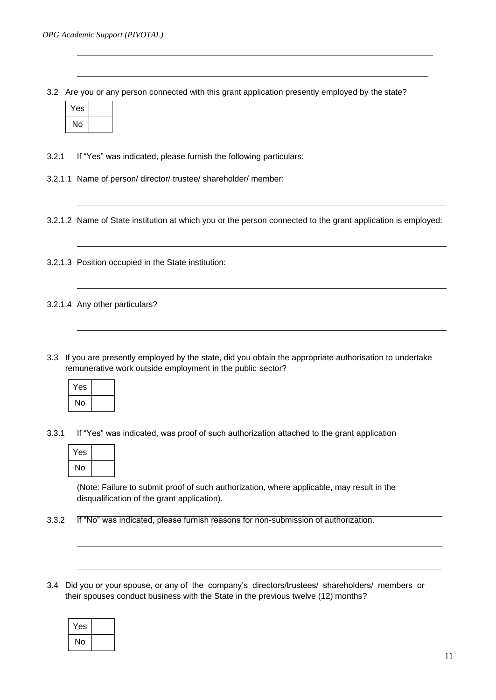3.2 Are you or any person connected with this grant application presently employed by the state?

| Yes |  |
|-----|--|
| No  |  |

3.2.1 If "Yes" was indicated, please furnish the following particulars:

3.2.1.1 Name of person/ director/ trustee/ shareholder/ member:

3.2.1.2 Name of State institution at which you or the person connected to the grant application is employed:

3.2.1.3 Position occupied in the State institution:

3.2.1.4 Any other particulars?

3.3 If you are presently employed by the state, did you obtain the appropriate authorisation to undertake remunerative work outside employment in the public sector?

| Yes |  |
|-----|--|
| No  |  |

3.3.1 If "Yes" was indicated, was proof of such authorization attached to the grant application

| Yes |  |
|-----|--|
| No  |  |

(Note: Failure to submit proof of such authorization, where applicable, may result in the disqualification of the grant application).

3.3.2 If "No" was indicated, please furnish reasons for non-submission of authorization.

3.4 Did you or your spouse, or any of the company's directors/trustees/ shareholders/ members or their spouses conduct business with the State in the previous twelve (12) months?

| Yes |  |
|-----|--|
| No  |  |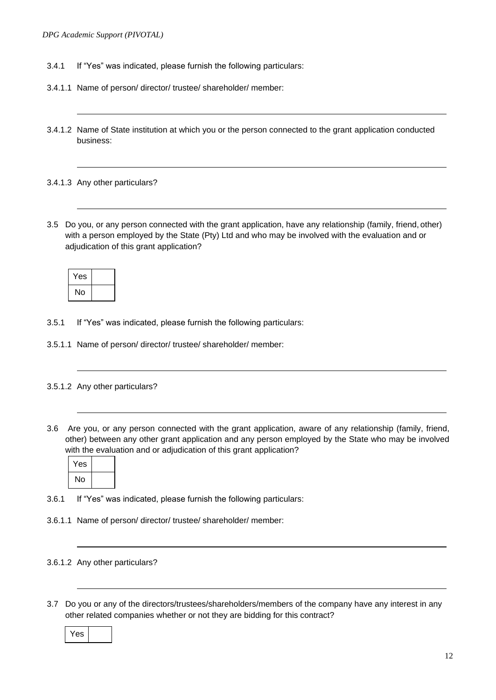- 3.4.1 If "Yes" was indicated, please furnish the following particulars:
- 3.4.1.1 Name of person/ director/ trustee/ shareholder/ member:
- 3.4.1.2 Name of State institution at which you or the person connected to the grant application conducted business:
- 3.4.1.3 Any other particulars?
- 3.5 Do you, or any person connected with the grant application, have any relationship (family, friend, other) with a person employed by the State (Pty) Ltd and who may be involved with the evaluation and or adjudication of this grant application?

| Yes |  |
|-----|--|
| No  |  |

- 3.5.1 If "Yes" was indicated, please furnish the following particulars:
- 3.5.1.1 Name of person/ director/ trustee/ shareholder/ member:

#### 3.5.1.2 Any other particulars?

3.6 Are you, or any person connected with the grant application, aware of any relationship (family, friend, other) between any other grant application and any person employed by the State who may be involved with the evaluation and or adjudication of this grant application?



- 3.6.1 If "Yes" was indicated, please furnish the following particulars:
- 3.6.1.1 Name of person/ director/ trustee/ shareholder/ member:

# 3.6.1.2 Any other particulars?

3.7 Do you or any of the directors/trustees/shareholders/members of the company have any interest in any other related companies whether or not they are bidding for this contract?

Yes